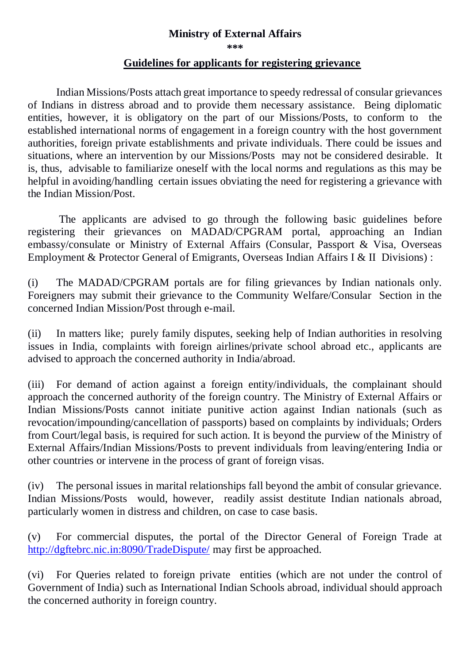## **Ministry of External Affairs**

**\*\*\*** 

## **Guidelines for applicants for registering grievance**

Indian Missions/Posts attach great importance to speedy redressal of consular grievances of Indians in distress abroad and to provide them necessary assistance. Being diplomatic entities, however, it is obligatory on the part of our Missions/Posts, to conform to the established international norms of engagement in a foreign country with the host government authorities, foreign private establishments and private individuals. There could be issues and situations, where an intervention by our Missions/Posts may not be considered desirable. It is, thus, advisable to familiarize oneself with the local norms and regulations as this may be helpful in avoiding/handling certain issues obviating the need for registering a grievance with the Indian Mission/Post.

The applicants are advised to go through the following basic guidelines before registering their grievances on MADAD/CPGRAM portal, approaching an Indian embassy/consulate or Ministry of External Affairs (Consular, Passport & Visa, Overseas Employment & Protector General of Emigrants, Overseas Indian Affairs I & II Divisions) :

(i) The MADAD/CPGRAM portals are for filing grievances by Indian nationals only. Foreigners may submit their grievance to the Community Welfare/Consular Section in the concerned Indian Mission/Post through e-mail.

(ii) In matters like; purely family disputes, seeking help of Indian authorities in resolving issues in India, complaints with foreign airlines/private school abroad etc., applicants are advised to approach the concerned authority in India/abroad.

(iii) For demand of action against a foreign entity/individuals, the complainant should approach the concerned authority of the foreign country. The Ministry of External Affairs or Indian Missions/Posts cannot initiate punitive action against Indian nationals (such as revocation/impounding/cancellation of passports) based on complaints by individuals; Orders from Court/legal basis, is required for such action. It is beyond the purview of the Ministry of External Affairs/Indian Missions/Posts to prevent individuals from leaving/entering India or other countries or intervene in the process of grant of foreign visas.

(iv) The personal issues in marital relationships fall beyond the ambit of consular grievance. Indian Missions/Posts would, however, readily assist destitute Indian nationals abroad, particularly women in distress and children, on case to case basis.

(v) For commercial disputes, the portal of the Director General of Foreign Trade at <http://dgftebrc.nic.in:8090/TradeDispute/> may first be approached.

(vi) For Queries related to foreign private entities (which are not under the control of Government of India) such as International Indian Schools abroad, individual should approach the concerned authority in foreign country.